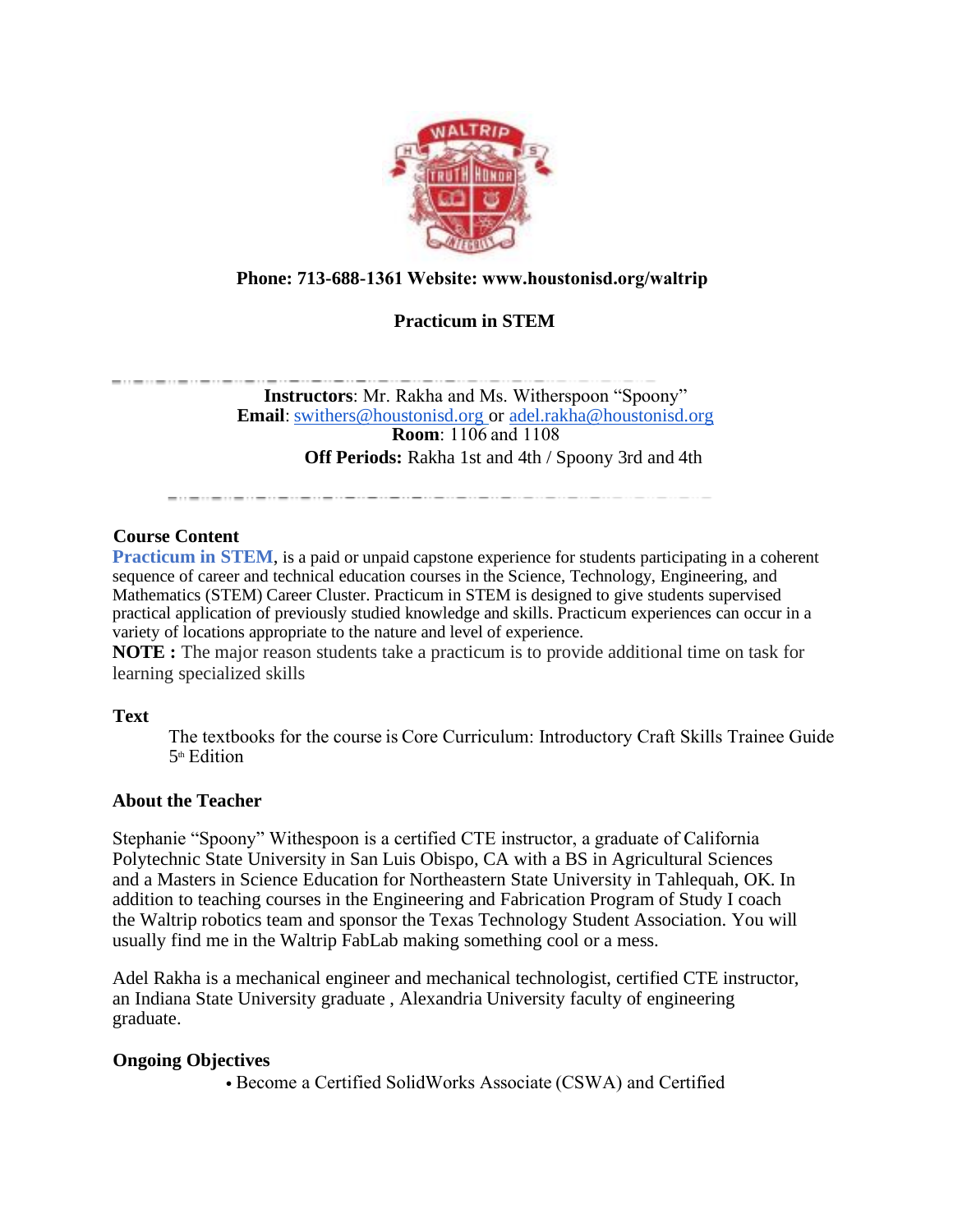

# **Phone: 713-688-1361 Website: www.houstonisd.org/waltrip**

# **Practicum in STEM**

**Instructors**: Mr. Rakha and Ms. Witherspoon "Spoony" **Email**:[swithers@houstonisd.org](mailto:swithers@houstonisd.org) or [adel.rakha@houstonisd.org](mailto:adel.rakha@houstonisd.org) **Room**: 1106 and 1108 **Off Periods:** Rakha 1st and 4th / Spoony 3rd and 4th

and the contract the contract of the contract of the contract of the contract of the contract of the contract of the contract of

## **Course Content**

**Practicum in STEM**, is a paid or unpaid capstone experience for students participating in a coherent sequence of career and technical education courses in the Science, Technology, Engineering, and Mathematics (STEM) Career Cluster. Practicum in STEM is designed to give students supervised practical application of previously studied knowledge and skills. Practicum experiences can occur in a variety of locations appropriate to the nature and level of experience.

**NOTE :** The major reason students take a practicum is to provide additional time on task for learning specialized skills

#### **Text**

The textbooks for the course is Core Curriculum: Introductory Craft Skills Trainee Guide 5 th Edition 

## **About the Teacher**

Stephanie "Spoony" Withespoon is a certified CTE instructor, a graduate of California Polytechnic State University in San Luis Obispo, CA with a BS in Agricultural Sciences and a Masters in Science Education for Northeastern State University in Tahlequah, OK. In addition to teaching courses in the Engineering and Fabrication Program of Study I coach the Waltrip robotics team and sponsor the Texas Technology Student Association. You will usually find me in the Waltrip FabLab making something cool or a mess.

Adel Rakha is a mechanical engineer and mechanical technologist, certified CTE instructor, an Indiana State University graduate , Alexandria University faculty of engineering graduate.

## **Ongoing Objectives**

• Become a Certified SolidWorks Associate (CSWA) and Certified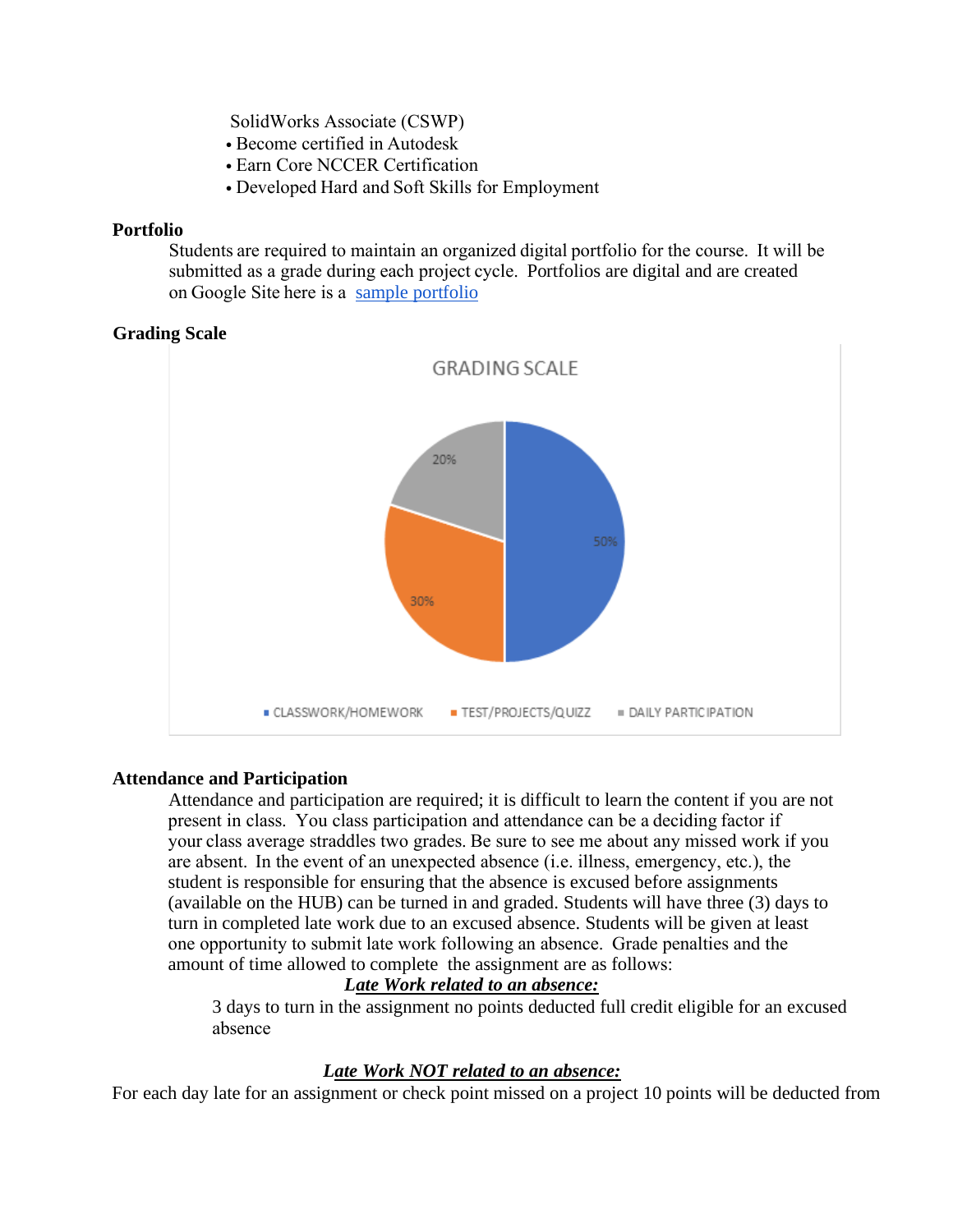SolidWorks Associate (CSWP) 

- Become certified in Autodesk
- Earn Core NCCER Certification
- Developed Hard and Soft Skills for Employment

#### **Portfolio**

Students are required to maintain an organized digital portfolio for the course.  It will be submitted as a grade during each project cycle.  Portfolios are digital and are created on Google Site here is a [sample portfolio](https://sites.google.com/online.houstonisd.org/gissel-sanchez/home?authuser=0&pli=1)

## **Grading Scale**



## **Attendance and Participation**

Attendance and participation are required; it is difficult to learn the content if you are not present in class.  You class participation and attendance can be a deciding factor if your class average straddles two grades. Be sure to see me about any missed work if you are absent.  In the event of an unexpected absence (i.e. illness, emergency, etc.), the student is responsible for ensuring that the absence is excused before assignments (available on the HUB) can be turned in and graded. Students will have three (3) days to turn in completed late work due to an excused absence. Students will be given at least one opportunity to submit late work following an absence.  Grade penalties and the amount of time allowed to complete the assignment are as follows: 

## *Late Work related to an absence:*

3 days to turn in the assignment no points deducted full credit eligible for an excused absence 

## *Late Work NOT related to an absence:*

For each day late for an assignment or check point missed on a project 10 points will be deducted from